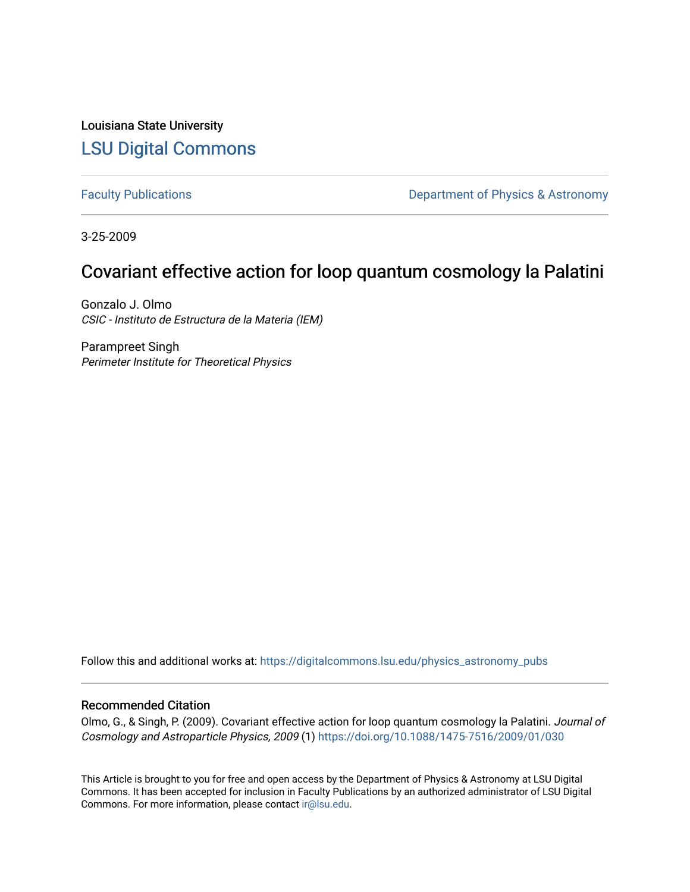Louisiana State University [LSU Digital Commons](https://digitalcommons.lsu.edu/)

[Faculty Publications](https://digitalcommons.lsu.edu/physics_astronomy_pubs) **Exercise 2 and Table 2 and Table 2 and Table 2 and Table 2 and Table 2 and Table 2 and Table 2 and Table 2 and Table 2 and Table 2 and Table 2 and Table 2 and Table 2 and Table 2 and Table 2 and Table** 

3-25-2009

## Covariant effective action for loop quantum cosmology la Palatini

Gonzalo J. Olmo CSIC - Instituto de Estructura de la Materia (IEM)

Parampreet Singh Perimeter Institute for Theoretical Physics

Follow this and additional works at: [https://digitalcommons.lsu.edu/physics\\_astronomy\\_pubs](https://digitalcommons.lsu.edu/physics_astronomy_pubs?utm_source=digitalcommons.lsu.edu%2Fphysics_astronomy_pubs%2F5073&utm_medium=PDF&utm_campaign=PDFCoverPages) 

## Recommended Citation

Olmo, G., & Singh, P. (2009). Covariant effective action for loop quantum cosmology la Palatini. Journal of Cosmology and Astroparticle Physics, 2009 (1)<https://doi.org/10.1088/1475-7516/2009/01/030>

This Article is brought to you for free and open access by the Department of Physics & Astronomy at LSU Digital Commons. It has been accepted for inclusion in Faculty Publications by an authorized administrator of LSU Digital Commons. For more information, please contact [ir@lsu.edu](mailto:ir@lsu.edu).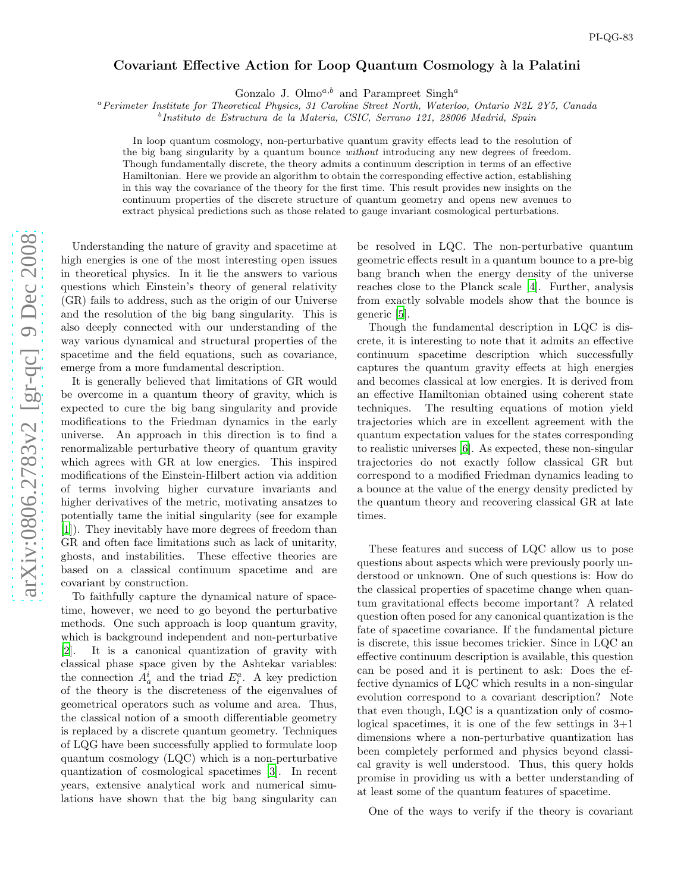## Covariant Effective Action for Loop Quantum Cosmology à la Palatini

Gonzalo J. Olmo<sup>a,b</sup> and Parampreet Singh<sup>a</sup>

<sup>a</sup> Perimeter Institute for Theoretical Physics, 31 Caroline Street North, Waterloo, Ontario N2L 2Y5, Canada

 $^{b}$ Instituto de Estructura de la Materia, CSIC, Serrano 121, 28006 Madrid, Spain

In loop quantum cosmology, non-perturbative quantum gravity effects lead to the resolution of the big bang singularity by a quantum bounce without introducing any new degrees of freedom. Though fundamentally discrete, the theory admits a continuum description in terms of an effective Hamiltonian. Here we provide an algorithm to obtain the corresponding effective action, establishing in this way the covariance of the theory for the first time. This result provides new insights on the continuum properties of the discrete structure of quantum geometry and opens new avenues to extract physical predictions such as those related to gauge invariant cosmological perturbations.

Understanding the nature of gravity and spacetime at high energies is one of the most interesting open issues in theoretical physics. In it lie the answers to various questions which Einstein's theory of general relativity (GR) fails to address, such as the origin of our Universe and the resolution of the big bang singularity. This is also deeply connected with our understanding of the way various dynamical and structural properties of the spacetime and the field equations, such as covariance, emerge from a more fundamental description.

It is generally believed that limitations of GR would be overcome in a quantum theory of gravity, which is expected to cure the big bang singularity and provide modifications to the Friedman dynamics in the early universe. An approach in this direction is to find a renormalizable perturbative theory of quantum gravity which agrees with GR at low energies. This inspired modifications of the Einstein-Hilbert action via addition of terms involving higher curvature invariants and higher derivatives of the metric, motivating ansatzes to potentially tame the initial singularity (see for example [\[1\]](#page-5-0)). They inevitably have more degrees of freedom than GR and often face limitations such as lack of unitarity, ghosts, and instabilities. These effective theories are based on a classical continuum spacetime and are covariant by construction.

To faithfully capture the dynamical nature of spacetime, however, we need to go beyond the perturbative methods. One such approach is loop quantum gravity, which is background independent and non-perturbative [\[2\]](#page-5-1). It is a canonical quantization of gravity with classical phase space given by the Ashtekar variables: the connection  $A_a^i$  and the triad  $E_i^a$ . A key prediction of the theory is the discreteness of the eigenvalues of geometrical operators such as volume and area. Thus, the classical notion of a smooth differentiable geometry is replaced by a discrete quantum geometry. Techniques of LQG have been successfully applied to formulate loop quantum cosmology (LQC) which is a non-perturbative quantization of cosmological spacetimes [\[3](#page-5-2)]. In recent years, extensive analytical work and numerical simulations have shown that the big bang singularity can

be resolved in LQC. The non-perturbative quantum geometric effects result in a quantum bounce to a pre-big bang branch when the energy density of the universe reaches close to the Planck scale [\[4\]](#page-5-3). Further, analysis from exactly solvable models show that the bounce is generic [\[5\]](#page-5-4).

Though the fundamental description in LQC is discrete, it is interesting to note that it admits an effective continuum spacetime description which successfully captures the quantum gravity effects at high energies and becomes classical at low energies. It is derived from an effective Hamiltonian obtained using coherent state techniques. The resulting equations of motion yield trajectories which are in excellent agreement with the quantum expectation values for the states corresponding to realistic universes [\[6](#page-5-5)]. As expected, these non-singular trajectories do not exactly follow classical GR but correspond to a modified Friedman dynamics leading to a bounce at the value of the energy density predicted by the quantum theory and recovering classical GR at late times.

These features and success of LQC allow us to pose questions about aspects which were previously poorly understood or unknown. One of such questions is: How do the classical properties of spacetime change when quantum gravitational effects become important? A related question often posed for any canonical quantization is the fate of spacetime covariance. If the fundamental picture is discrete, this issue becomes trickier. Since in LQC an effective continuum description is available, this question can be posed and it is pertinent to ask: Does the effective dynamics of LQC which results in a non-singular evolution correspond to a covariant description? Note that even though, LQC is a quantization only of cosmological spacetimes, it is one of the few settings in  $3+1$ dimensions where a non-perturbative quantization has been completely performed and physics beyond classical gravity is well understood. Thus, this query holds promise in providing us with a better understanding of at least some of the quantum features of spacetime.

One of the ways to verify if the theory is covariant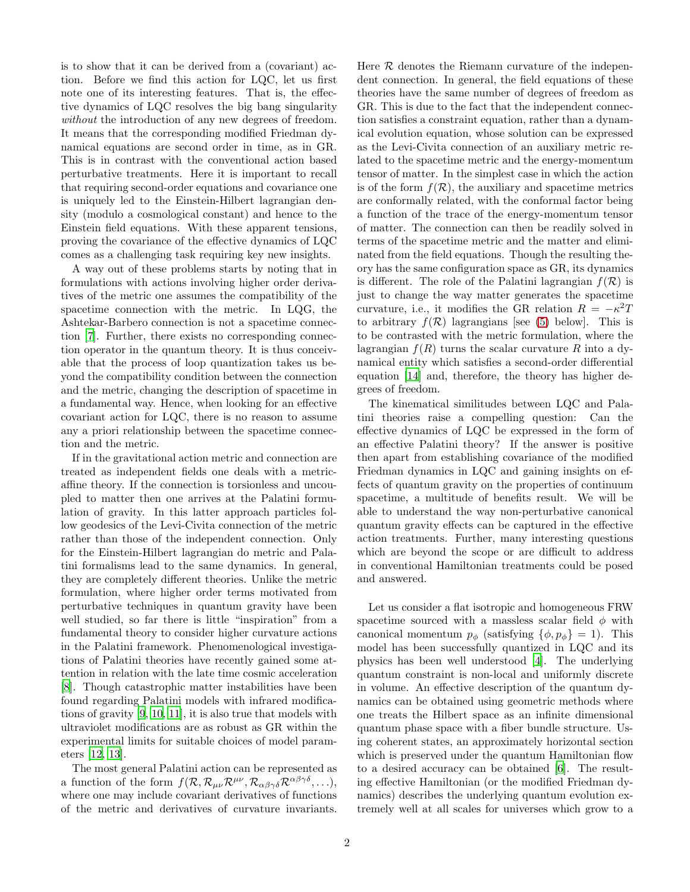is to show that it can be derived from a (covariant) action. Before we find this action for LQC, let us first note one of its interesting features. That is, the effective dynamics of LQC resolves the big bang singularity without the introduction of any new degrees of freedom. It means that the corresponding modified Friedman dynamical equations are second order in time, as in GR. This is in contrast with the conventional action based perturbative treatments. Here it is important to recall that requiring second-order equations and covariance one is uniquely led to the Einstein-Hilbert lagrangian density (modulo a cosmological constant) and hence to the Einstein field equations. With these apparent tensions, proving the covariance of the effective dynamics of LQC comes as a challenging task requiring key new insights.

A way out of these problems starts by noting that in formulations with actions involving higher order derivatives of the metric one assumes the compatibility of the spacetime connection with the metric. In LQG, the Ashtekar-Barbero connection is not a spacetime connection [\[7\]](#page-5-6). Further, there exists no corresponding connection operator in the quantum theory. It is thus conceivable that the process of loop quantization takes us beyond the compatibility condition between the connection and the metric, changing the description of spacetime in a fundamental way. Hence, when looking for an effective covariant action for LQC, there is no reason to assume any a priori relationship between the spacetime connection and the metric.

If in the gravitational action metric and connection are treated as independent fields one deals with a metricaffine theory. If the connection is torsionless and uncoupled to matter then one arrives at the Palatini formulation of gravity. In this latter approach particles follow geodesics of the Levi-Civita connection of the metric rather than those of the independent connection. Only for the Einstein-Hilbert lagrangian do metric and Palatini formalisms lead to the same dynamics. In general, they are completely different theories. Unlike the metric formulation, where higher order terms motivated from perturbative techniques in quantum gravity have been well studied, so far there is little "inspiration" from a fundamental theory to consider higher curvature actions in the Palatini framework. Phenomenological investigations of Palatini theories have recently gained some attention in relation with the late time cosmic acceleration [\[8\]](#page-5-7). Though catastrophic matter instabilities have been found regarding Palatini models with infrared modifications of gravity [\[9,](#page-5-8) [10,](#page-5-9) [11\]](#page-5-10), it is also true that models with ultraviolet modifications are as robust as GR within the experimental limits for suitable choices of model parameters [\[12,](#page-5-11) [13\]](#page-5-12).

The most general Palatini action can be represented as a function of the form  $f(\mathcal{R}, \mathcal{R}_{\mu\nu}\mathcal{R}^{\mu\nu}, \mathcal{R}_{\alpha\beta\gamma\delta}\mathcal{R}^{\alpha\beta\gamma\delta}, \ldots),$ where one may include covariant derivatives of functions of the metric and derivatives of curvature invariants.

Here  $R$  denotes the Riemann curvature of the independent connection. In general, the field equations of these theories have the same number of degrees of freedom as GR. This is due to the fact that the independent connection satisfies a constraint equation, rather than a dynamical evolution equation, whose solution can be expressed as the Levi-Civita connection of an auxiliary metric related to the spacetime metric and the energy-momentum tensor of matter. In the simplest case in which the action is of the form  $f(\mathcal{R})$ , the auxiliary and spacetime metrics are conformally related, with the conformal factor being a function of the trace of the energy-momentum tensor of matter. The connection can then be readily solved in terms of the spacetime metric and the matter and eliminated from the field equations. Though the resulting theory has the same configuration space as GR, its dynamics is different. The role of the Palatini lagrangian  $f(\mathcal{R})$  is just to change the way matter generates the spacetime curvature, i.e., it modifies the GR relation  $R = -\kappa^2 T$ to arbitrary  $f(\mathcal{R})$  lagrangians [see [\(5\)](#page-3-0) below]. This is to be contrasted with the metric formulation, where the lagrangian  $f(R)$  turns the scalar curvature R into a dynamical entity which satisfies a second-order differential equation [\[14\]](#page-5-13) and, therefore, the theory has higher degrees of freedom.

The kinematical similitudes between LQC and Palatini theories raise a compelling question: Can the effective dynamics of LQC be expressed in the form of an effective Palatini theory? If the answer is positive then apart from establishing covariance of the modified Friedman dynamics in LQC and gaining insights on effects of quantum gravity on the properties of continuum spacetime, a multitude of benefits result. We will be able to understand the way non-perturbative canonical quantum gravity effects can be captured in the effective action treatments. Further, many interesting questions which are beyond the scope or are difficult to address in conventional Hamiltonian treatments could be posed and answered.

Let us consider a flat isotropic and homogeneous FRW spacetime sourced with a massless scalar field  $\phi$  with canonical momentum  $p_{\phi}$  (satisfying  $\{\phi, p_{\phi}\}=1$ ). This model has been successfully quantized in LQC and its physics has been well understood [\[4\]](#page-5-3). The underlying quantum constraint is non-local and uniformly discrete in volume. An effective description of the quantum dynamics can be obtained using geometric methods where one treats the Hilbert space as an infinite dimensional quantum phase space with a fiber bundle structure. Using coherent states, an approximately horizontal section which is preserved under the quantum Hamiltonian flow to a desired accuracy can be obtained [\[6](#page-5-5)]. The resulting effective Hamiltonian (or the modified Friedman dynamics) describes the underlying quantum evolution extremely well at all scales for universes which grow to a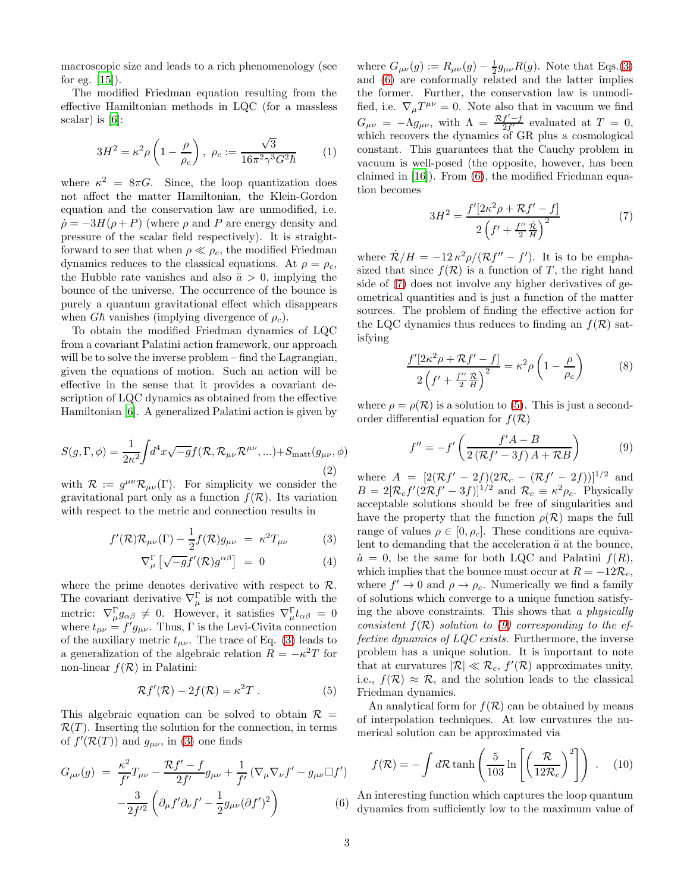macroscopic size and leads to a rich phenomenology (see for eg. [\[15\]](#page-5-14)).

The modified Friedman equation resulting from the effective Hamiltonian methods in LQC (for a massless scalar) is [\[6\]](#page-5-5):

$$
3H^{2} = \kappa^{2} \rho \left( 1 - \frac{\rho}{\rho_{c}} \right), \ \rho_{c} := \frac{\sqrt{3}}{16\pi^{2} \gamma^{3} G^{2} \hbar}
$$
 (1)

where  $\kappa^2 = 8\pi G$ . Since, the loop quantization does not affect the matter Hamiltonian, the Klein-Gordon equation and the conservation law are unmodified, i.e.  $\dot{\rho} = -3H(\rho + P)$  (where  $\rho$  and P are energy density and pressure of the scalar field respectively). It is straightforward to see that when  $\rho \ll \rho_c$ , the modified Friedman dynamics reduces to the classical equations. At  $\rho = \rho_c$ , the Hubble rate vanishes and also  $\ddot{a} > 0$ , implying the bounce of the universe. The occurrence of the bounce is purely a quantum gravitational effect which disappears when  $G\hbar$  vanishes (implying divergence of  $\rho_c$ ).

To obtain the modified Friedman dynamics of LQC from a covariant Palatini action framework, our approach will be to solve the inverse problem – find the Lagrangian, given the equations of motion. Such an action will be effective in the sense that it provides a covariant description of LQC dynamics as obtained from the effective Hamiltonian [\[6](#page-5-5)]. A generalized Palatini action is given by

$$
S(g,\Gamma,\phi) = \frac{1}{2\kappa^2} \int d^4x \sqrt{-g} f(\mathcal{R}, \mathcal{R}_{\mu\nu} \mathcal{R}^{\mu\nu}, \ldots) + S_{\text{matt}}(g_{\mu\nu}, \phi)
$$
\n(2)

with  $\mathcal{R} := g^{\mu\nu} \mathcal{R}_{\mu\nu}(\Gamma)$ . For simplicity we consider the gravitational part only as a function  $f(\mathcal{R})$ . Its variation with respect to the metric and connection results in

<span id="page-3-1"></span>
$$
f'(\mathcal{R})\mathcal{R}_{\mu\nu}(\Gamma) - \frac{1}{2}f(\mathcal{R})g_{\mu\nu} = \kappa^2 T_{\mu\nu} \tag{3}
$$

$$
\nabla^{\Gamma}_{\mu} \left[ \sqrt{-g} f'(\mathcal{R}) g^{\alpha \beta} \right] = 0 \tag{4}
$$

where the prime denotes derivative with respect to  $\mathcal{R}$ . The covariant derivative  $\nabla^{\Gamma}_{\mu}$  is not compatible with the metric:  $\nabla_{\mu}^{\Gamma} g_{\alpha\beta} \neq 0$ . However, it satisfies  $\nabla_{\mu}^{\Gamma} t_{\alpha\beta} = 0$ where  $t_{\mu\nu} = f' g_{\mu\nu}$ . Thus,  $\Gamma$  is the Levi-Civita connection of the auxiliary metric  $t_{\mu\nu}$ . The trace of Eq. [\(3\)](#page-3-1) leads to a generalization of the algebraic relation  $\hat{R} = -\kappa^2 T$  for non-linear  $f(\mathcal{R})$  in Palatini:

<span id="page-3-0"></span>
$$
\mathcal{R}f'(\mathcal{R}) - 2f(\mathcal{R}) = \kappa^2 T . \qquad (5)
$$

This algebraic equation can be solved to obtain  $\mathcal{R} =$  $\mathcal{R}(T)$ . Inserting the solution for the connection, in terms of  $f'(\mathcal{R}(T))$  and  $g_{\mu\nu}$ , in [\(3\)](#page-3-1) one finds

<span id="page-3-2"></span>
$$
G_{\mu\nu}(g) = \frac{\kappa^2}{f'} T_{\mu\nu} - \frac{\mathcal{R}f' - f}{2f'} g_{\mu\nu} + \frac{1}{f'} (\nabla_{\mu} \nabla_{\nu} f' - g_{\mu\nu} \Box f') - \frac{3}{2f'^2} \left( \partial_{\mu} f' \partial_{\nu} f' - \frac{1}{2} g_{\mu\nu} (\partial f')^2 \right)
$$
(6)

where  $G_{\mu\nu}(g) := R_{\mu\nu}(g) - \frac{1}{2}g_{\mu\nu}R(g)$ . Note that Eqs.[\(3\)](#page-3-1) and [\(6\)](#page-3-2) are conformally related and the latter implies the former. Further, the conservation law is unmodified, i.e.  $\nabla_{\mu}T^{\mu\nu} = 0$ . Note also that in vacuum we find  $G_{\mu\nu} = -\Lambda g_{\mu\nu}$ , with  $\Lambda = \frac{\mathcal{R}f'-f}{2f'}$  evaluated at  $T = 0$ , which recovers the dynamics of GR plus a cosmological constant. This guarantees that the Cauchy problem in vacuum is well-posed (the opposite, however, has been claimed in [\[16\]](#page-5-15)). From [\(6\)](#page-3-2), the modified Friedman equation becomes

<span id="page-3-3"></span>
$$
3H^{2} = \frac{f'[2\kappa^{2}\rho + \mathcal{R}f' - f]}{2\left(f' + \frac{f''}{2}\frac{\dot{\mathcal{R}}}{H}\right)^{2}}
$$
(7)

where  $\mathcal{R}/H = -12\kappa^2 \rho/(\mathcal{R}f'' - f')$ . It is to be emphasized that since  $f(\mathcal{R})$  is a function of T, the right hand side of [\(7\)](#page-3-3) does not involve any higher derivatives of geometrical quantities and is just a function of the matter sources. The problem of finding the effective action for the LQC dynamics thus reduces to finding an  $f(\mathcal{R})$  satisfying

$$
\frac{f'[2\kappa^2 \rho + \mathcal{R}f' - f]}{2\left(f' + \frac{f''}{2}\frac{\dot{\mathcal{R}}}{H}\right)^2} = \kappa^2 \rho \left(1 - \frac{\rho}{\rho_c}\right) \tag{8}
$$

where  $\rho = \rho(\mathcal{R})$  is a solution to [\(5\)](#page-3-0). This is just a secondorder differential equation for  $f(\mathcal{R})$ 

<span id="page-3-4"></span>
$$
f'' = -f'\left(\frac{f'A - B}{2\left(\mathcal{R}f' - 3f\right)A + \mathcal{R}B}\right) \tag{9}
$$

where  $A = [2(\mathcal{R}f' - 2f)(2\mathcal{R}_c - (\mathcal{R}f' - 2f))]^{1/2}$  and  $B = 2[\mathcal{R}_c f'(2\mathcal{R}f' - 3f)]^{1/2}$  and  $\mathcal{R}_c \equiv \kappa^2 \rho_c$ . Physically acceptable solutions should be free of singularities and have the property that the function  $\rho(\mathcal{R})$  maps the full range of values  $\rho \in [0, \rho_c]$ . These conditions are equivalent to demanding that the acceleration  $\ddot{a}$  at the bounce,  $\dot{a} = 0$ , be the same for both LQC and Palatini  $f(R)$ , which implies that the bounce must occur at  $R = -12\mathcal{R}_c$ , where  $f' \to 0$  and  $\rho \to \rho_c$ . Numerically we find a family of solutions which converge to a unique function satisfying the above constraints. This shows that a physically consistent  $f(\mathcal{R})$  solution to [\(9\)](#page-3-4) corresponding to the effective dynamics of  $LQC$  exists. Furthermore, the inverse problem has a unique solution. It is important to note that at curvatures  $|\mathcal{R}| \ll \mathcal{R}_c$ ,  $f'(\mathcal{R})$  approximates unity, i.e.,  $f(\mathcal{R}) \approx \mathcal{R}$ , and the solution leads to the classical Friedman dynamics.

An analytical form for  $f(\mathcal{R})$  can be obtained by means of interpolation techniques. At low curvatures the numerical solution can be approximated via

$$
f(\mathcal{R}) = -\int d\mathcal{R} \tanh\left(\frac{5}{103} \ln\left[\left(\frac{\mathcal{R}}{12\mathcal{R}_c}\right)^2\right]\right) .
$$
 (10)

An interesting function which captures the loop quantum dynamics from sufficiently low to the maximum value of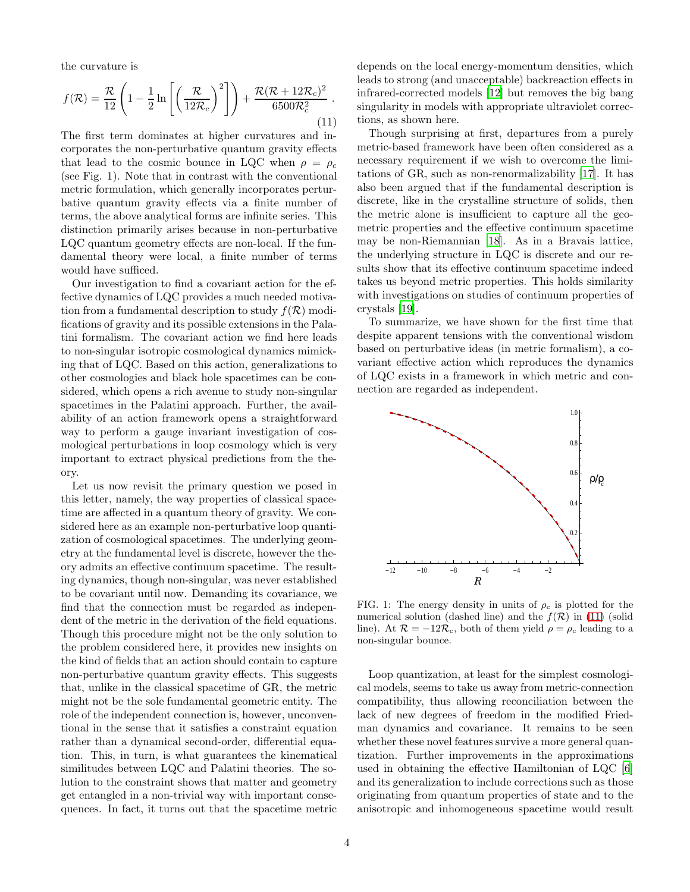<span id="page-4-0"></span>the curvature is

$$
f(\mathcal{R}) = \frac{\mathcal{R}}{12} \left( 1 - \frac{1}{2} \ln \left[ \left( \frac{\mathcal{R}}{12 \mathcal{R}_c} \right)^2 \right] \right) + \frac{\mathcal{R} (\mathcal{R} + 12 \mathcal{R}_c)^2}{6500 \mathcal{R}_c^2} \tag{11}
$$

The first term dominates at higher curvatures and incorporates the non-perturbative quantum gravity effects that lead to the cosmic bounce in LQC when  $\rho = \rho_c$ (see Fig. 1). Note that in contrast with the conventional metric formulation, which generally incorporates perturbative quantum gravity effects via a finite number of terms, the above analytical forms are infinite series. This distinction primarily arises because in non-perturbative LQC quantum geometry effects are non-local. If the fundamental theory were local, a finite number of terms would have sufficed.

Our investigation to find a covariant action for the effective dynamics of LQC provides a much needed motivation from a fundamental description to study  $f(\mathcal{R})$  modifications of gravity and its possible extensions in the Palatini formalism. The covariant action we find here leads to non-singular isotropic cosmological dynamics mimicking that of LQC. Based on this action, generalizations to other cosmologies and black hole spacetimes can be considered, which opens a rich avenue to study non-singular spacetimes in the Palatini approach. Further, the availability of an action framework opens a straightforward way to perform a gauge invariant investigation of cosmological perturbations in loop cosmology which is very important to extract physical predictions from the theory.

Let us now revisit the primary question we posed in this letter, namely, the way properties of classical spacetime are affected in a quantum theory of gravity. We considered here as an example non-perturbative loop quantization of cosmological spacetimes. The underlying geometry at the fundamental level is discrete, however the theory admits an effective continuum spacetime. The resulting dynamics, though non-singular, was never established to be covariant until now. Demanding its covariance, we find that the connection must be regarded as independent of the metric in the derivation of the field equations. Though this procedure might not be the only solution to the problem considered here, it provides new insights on the kind of fields that an action should contain to capture non-perturbative quantum gravity effects. This suggests that, unlike in the classical spacetime of GR, the metric might not be the sole fundamental geometric entity. The role of the independent connection is, however, unconventional in the sense that it satisfies a constraint equation rather than a dynamical second-order, differential equation. This, in turn, is what guarantees the kinematical similitudes between LQC and Palatini theories. The solution to the constraint shows that matter and geometry get entangled in a non-trivial way with important consequences. In fact, it turns out that the spacetime metric depends on the local energy-momentum densities, which leads to strong (and unacceptable) backreaction effects in infrared-corrected models [\[12](#page-5-11)] but removes the big bang singularity in models with appropriate ultraviolet corrections, as shown here.

Though surprising at first, departures from a purely metric-based framework have been often considered as a necessary requirement if we wish to overcome the limitations of GR, such as non-renormalizability [\[17\]](#page-5-16). It has also been argued that if the fundamental description is discrete, like in the crystalline structure of solids, then the metric alone is insufficient to capture all the geometric properties and the effective continuum spacetime may be non-Riemannian [\[18\]](#page-5-17). As in a Bravais lattice, the underlying structure in LQC is discrete and our results show that its effective continuum spacetime indeed takes us beyond metric properties. This holds similarity with investigations on studies of continuum properties of crystals [\[19](#page-5-18)].

To summarize, we have shown for the first time that despite apparent tensions with the conventional wisdom based on perturbative ideas (in metric formalism), a covariant effective action which reproduces the dynamics of LQC exists in a framework in which metric and connection are regarded as independent.



FIG. 1: The energy density in units of  $\rho_c$  is plotted for the numerical solution (dashed line) and the  $f(\mathcal{R})$  in [\(11\)](#page-4-0) (solid line). At  $\mathcal{R} = -12\mathcal{R}_c$ , both of them yield  $\rho = \rho_c$  leading to a non-singular bounce.

Loop quantization, at least for the simplest cosmological models, seems to take us away from metric-connection compatibility, thus allowing reconciliation between the lack of new degrees of freedom in the modified Friedman dynamics and covariance. It remains to be seen whether these novel features survive a more general quantization. Further improvements in the approximations used in obtaining the effective Hamiltonian of LQC [\[6](#page-5-5)] and its generalization to include corrections such as those originating from quantum properties of state and to the anisotropic and inhomogeneous spacetime would result